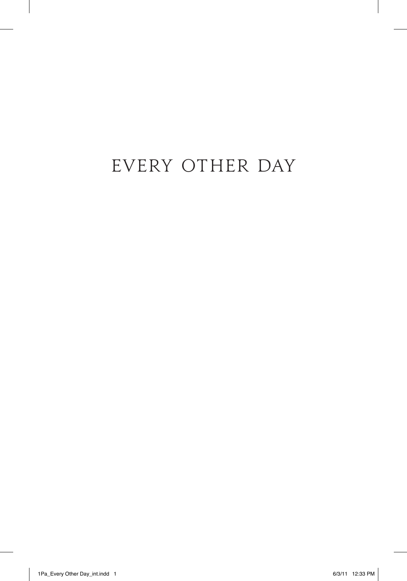### EVERY OTHER DAY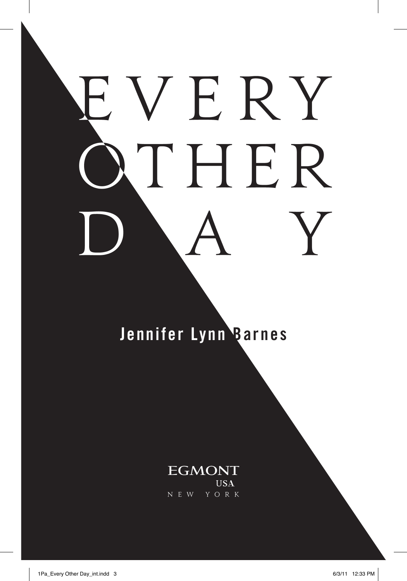## VERY THER

## Jennifer Lynn Barnes

### **EGMONT IISA**

Y O R K N E W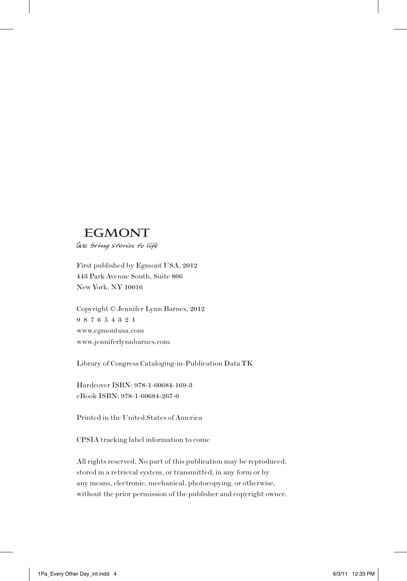### **EGMONT**

We bring stories to life

First published by Egmont USA, 2012 443 Park Avenue South, Suite 806 New York, NY 10016

Copyright © Jennifer Lynn Barnes, 2012 9 8 7 6 5 4 3 2 1 www.egmontusa.com www.jenniferlynnbarnes.com

Library of Congress Cataloging-in-Publication Data TK

Hardcover ISBN: 978-1-60684-169-3 eBook ISBN: 978-1-60684-267-6

Printed in the United States of America

CPSIA tracking label information to come

All rights reserved. No part of this publication may be reproduced, stored in a retrieval system, or transmitted, in any form or by any means, electronic, mechanical, photocopying, or otherwise, without the prior permission of the publisher and copyright owner.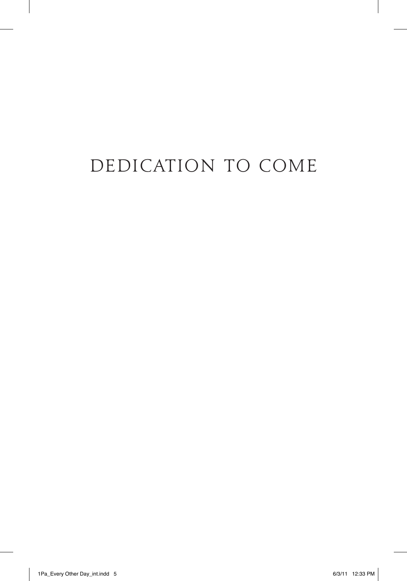## DEDICATION TO COME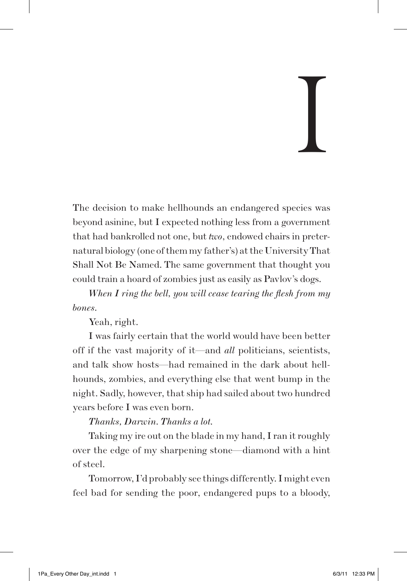# I

The decision to make hellhounds an endangered species was beyond asinine, but I expected nothing less from a government that had bankrolled not one, but *two*, endowed chairs in preternatural biology (one of them my father's) at the University That Shall Not Be Named. The same government that thought you could train a hoard of zombies just as easily as Pavlov's dogs.

*When I ring the bell, you will cease tearing the flesh from my bones.*

Yeah, right.

I was fairly certain that the world would have been better off if the vast majority of it—and *all* politicians, scientists, and talk show hosts—had remained in the dark about hellhounds, zombies, and everything else that went bump in the night. Sadly, however, that ship had sailed about two hundred years before I was even born.

*Thanks, Darwin. Thanks a lot.*

Taking my ire out on the blade in my hand, I ran it roughly over the edge of my sharpening stone—diamond with a hint of steel.

Tomorrow, I'd probably see things differently. I might even feel bad for sending the poor, endangered pups to a bloody,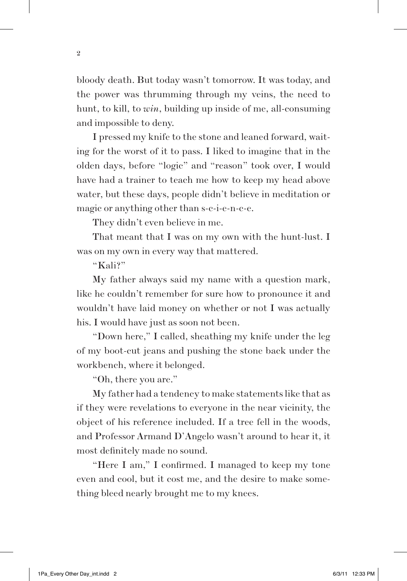bloody death. But today wasn't tomorrow. It was today, and the power was thrumming through my veins, the need to hunt, to kill, to *win*, building up inside of me, all-consuming and impossible to deny.

I pressed my knife to the stone and leaned forward, waiting for the worst of it to pass. I liked to imagine that in the olden days, before "logic" and "reason" took over, I would have had a trainer to teach me how to keep my head above water, but these days, people didn't believe in meditation or magic or anything other than s-c-i-e-n-c-e.

They didn't even believe in me.

That meant that I was on my own with the hunt-lust. I was on my own in every way that mattered.

"Kali?"

My father always said my name with a question mark, like he couldn't remember for sure how to pronounce it and wouldn't have laid money on whether or not I was actually his. I would have just as soon not been.

"Down here," I called, sheathing my knife under the leg of my boot-cut jeans and pushing the stone back under the workbench, where it belonged.

"Oh, there you are."

My father had a tendency to make statements like that as if they were revelations to everyone in the near vicinity, the object of his reference included. If a tree fell in the woods, and Professor Armand D'Angelo wasn't around to hear it, it most definitely made no sound.

"Here I am," I confirmed. I managed to keep my tone even and cool, but it cost me, and the desire to make something bleed nearly brought me to my knees.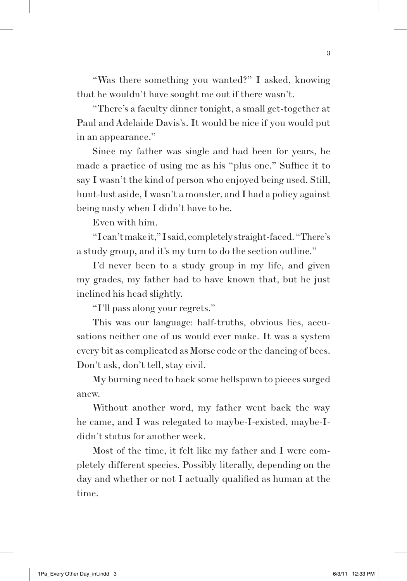"Was there something you wanted?" I asked, knowing that he wouldn't have sought me out if there wasn't.

"There's a faculty dinner tonight, a small get-together at Paul and Adelaide Davis's. It would be nice if you would put in an appearance."

Since my father was single and had been for years, he made a practice of using me as his "plus one." Suffice it to say I wasn't the kind of person who enjoyed being used. Still, hunt-lust aside, I wasn't a monster, and I had a policy against being nasty when I didn't have to be.

Even with him.

"I can't make it," I said, completely straight-faced. "There's a study group, and it's my turn to do the section outline."

I'd never been to a study group in my life, and given my grades, my father had to have known that, but he just inclined his head slightly.

"I'll pass along your regrets."

This was our language: half-truths, obvious lies, accusations neither one of us would ever make. It was a system every bit as complicated as Morse code or the dancing of bees. Don't ask, don't tell, stay civil.

My burning need to hack some hellspawn to pieces surged anew.

Without another word, my father went back the way he came, and I was relegated to maybe-I-existed, maybe-Ididn't status for another week.

Most of the time, it felt like my father and I were completely different species. Possibly literally, depending on the day and whether or not I actually qualified as human at the time.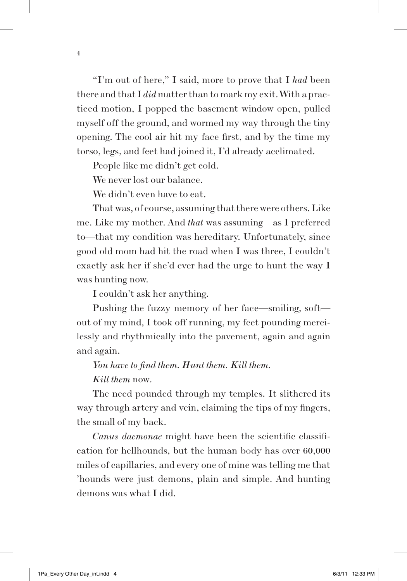"I'm out of here," I said, more to prove that I *had* been there and that I *did* matter than to mark my exit. With a practiced motion, I popped the basement window open, pulled myself off the ground, and wormed my way through the tiny opening. The cool air hit my face first, and by the time my torso, legs, and feet had joined it, I'd already acclimated.

People like me didn't get cold.

We never lost our balance.

We didn't even have to eat.

That was, of course, assuming that there were others. Like me. Like my mother. And *that* was assuming—as I preferred to—that my condition was hereditary. Unfortunately, since good old mom had hit the road when I was three, I couldn't exactly ask her if she'd ever had the urge to hunt the way I was hunting now.

I couldn't ask her anything.

Pushing the fuzzy memory of her face—smiling, soft out of my mind, I took off running, my feet pounding mercilessly and rhythmically into the pavement, again and again and again.

*You have to find them. Hunt them. Kill them.* 

*Kill them* now*.* 

The need pounded through my temples. It slithered its way through artery and vein, claiming the tips of my fingers, the small of my back.

*Canus daemonae* might have been the scientific classification for hellhounds, but the human body has over 60,000 miles of capillaries, and every one of mine was telling me that 'hounds were just demons, plain and simple. And hunting demons was what I did.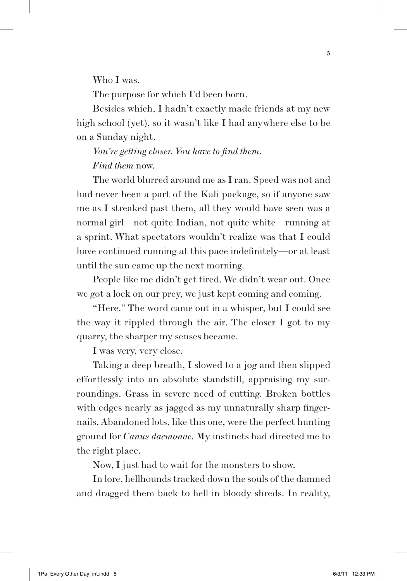Who I was.

The purpose for which I'd been born.

Besides which, I hadn't exactly made friends at my new high school (yet), so it wasn't like I had anywhere else to be on a Sunday night.

### *You're getting closer. You have to find them. Find them* now.

The world blurred around me as I ran. Speed was not and had never been a part of the Kali package, so if anyone saw me as I streaked past them, all they would have seen was a normal girl—not quite Indian, not quite white—running at a sprint. What spectators wouldn't realize was that I could have continued running at this pace indefinitely—or at least until the sun came up the next morning.

People like me didn't get tired. We didn't wear out. Once we got a lock on our prey, we just kept coming and coming.

"Here." The word came out in a whisper, but I could see the way it rippled through the air. The closer I got to my quarry, the sharper my senses became.

I was very, very close.

Taking a deep breath, I slowed to a jog and then slipped effortlessly into an absolute standstill, appraising my surroundings. Grass in severe need of cutting. Broken bottles with edges nearly as jagged as my unnaturally sharp fingernails. Abandoned lots, like this one, were the perfect hunting ground for *Canus daemonae.* My instincts had directed me to the right place.

Now, I just had to wait for the monsters to show.

In lore, hellhounds tracked down the souls of the damned and dragged them back to hell in bloody shreds. In reality,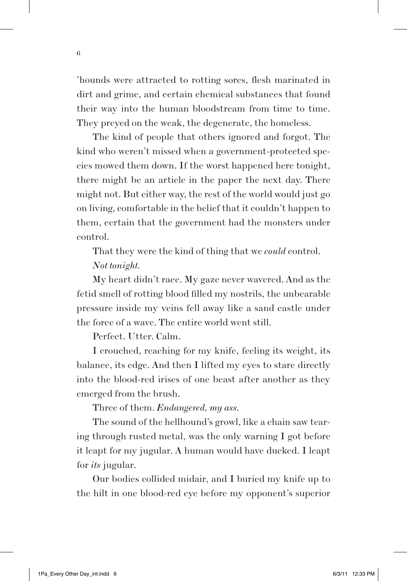'hounds were attracted to rotting sores, flesh marinated in dirt and grime, and certain chemical substances that found their way into the human bloodstream from time to time. They preyed on the weak, the degenerate, the homeless.

The kind of people that others ignored and forgot. The kind who weren't missed when a government-protected species mowed them down. If the worst happened here tonight, there might be an article in the paper the next day. There might not. But either way, the rest of the world would just go on living, comfortable in the belief that it couldn't happen to them, certain that the government had the monsters under control.

That they were the kind of thing that we *could* control.

### *Not tonight.*

My heart didn't race. My gaze never wavered. And as the fetid smell of rotting blood filled my nostrils, the unbearable pressure inside my veins fell away like a sand castle under the force of a wave. The entire world went still.

Perfect. Utter. Calm.

I crouched, reaching for my knife, feeling its weight, its balance, its edge. And then I lifted my eyes to stare directly into the blood-red irises of one beast after another as they emerged from the brush.

Three of them. *Endangered, my ass.*

The sound of the hellhound's growl, like a chain saw tearing through rusted metal, was the only warning I got before it leapt for my jugular. A human would have ducked. I leapt for *its* jugular.

Our bodies collided midair, and I buried my knife up to the hilt in one blood-red eye before my opponent's superior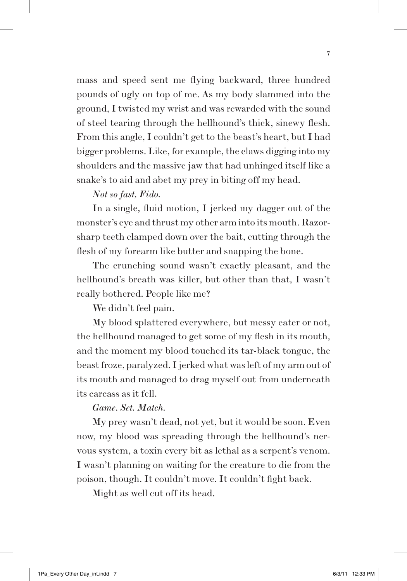mass and speed sent me flying backward, three hundred pounds of ugly on top of me. As my body slammed into the ground, I twisted my wrist and was rewarded with the sound of steel tearing through the hellhound's thick, sinewy flesh. From this angle, I couldn't get to the beast's heart, but I had bigger problems. Like, for example, the claws digging into my shoulders and the massive jaw that had unhinged itself like a snake's to aid and abet my prey in biting off my head.

### *Not so fast, Fido.*

In a single, fluid motion, I jerked my dagger out of the monster's eye and thrust my other arm into its mouth. Razorsharp teeth clamped down over the bait, cutting through the flesh of my forearm like butter and snapping the bone.

The crunching sound wasn't exactly pleasant, and the hellhound's breath was killer, but other than that, I wasn't really bothered. People like me?

We didn't feel pain.

My blood splattered everywhere, but messy eater or not, the hellhound managed to get some of my flesh in its mouth, and the moment my blood touched its tar-black tongue, the beast froze, paralyzed. I jerked what was left of my arm out of its mouth and managed to drag myself out from underneath its carcass as it fell.

#### *Game. Set. Match.*

My prey wasn't dead, not yet, but it would be soon. Even now, my blood was spreading through the hellhound's nervous system, a toxin every bit as lethal as a serpent's venom. I wasn't planning on waiting for the creature to die from the poison, though. It couldn't move. It couldn't fight back.

Might as well cut off its head.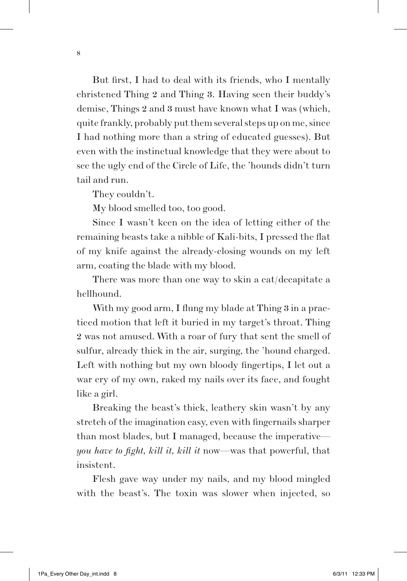But first, I had to deal with its friends, who I mentally christened Thing 2 and Thing 3. Having seen their buddy's demise, Things 2 and 3 must have known what I was (which, quite frankly, probably put them several steps up on me, since I had nothing more than a string of educated guesses). But even with the instinctual knowledge that they were about to see the ugly end of the Circle of Life, the 'hounds didn't turn tail and run.

They couldn't.

My blood smelled too, too good.

Since I wasn't keen on the idea of letting either of the remaining beasts take a nibble of Kali-bits, I pressed the flat of my knife against the already-closing wounds on my left arm, coating the blade with my blood.

There was more than one way to skin a cat/decapitate a hellhound.

With my good arm, I flung my blade at Thing 3 in a practiced motion that left it buried in my target's throat. Thing 2 was not amused. With a roar of fury that sent the smell of sulfur, already thick in the air, surging, the 'hound charged. Left with nothing but my own bloody fingertips, I let out a war cry of my own, raked my nails over its face, and fought like a girl.

Breaking the beast's thick, leathery skin wasn't by any stretch of the imagination easy, even with fingernails sharper than most blades, but I managed, because the imperative *you have to fight, kill it, kill it* now—was that powerful, that insistent.

Flesh gave way under my nails, and my blood mingled with the beast's. The toxin was slower when injected, so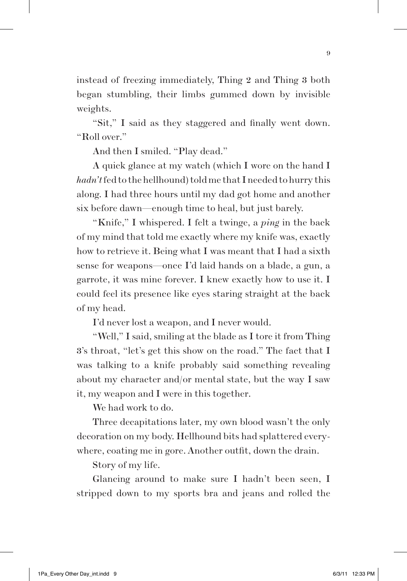instead of freezing immediately, Thing 2 and Thing 3 both began stumbling, their limbs gummed down by invisible weights.

"Sit," I said as they staggered and finally went down. "Roll over."

And then I smiled. "Play dead."

A quick glance at my watch (which I wore on the hand I *hadn't* fed to the hellhound) told me that I needed to hurry this along. I had three hours until my dad got home and another six before dawn—enough time to heal, but just barely.

"Knife," I whispered. I felt a twinge, a *ping* in the back of my mind that told me exactly where my knife was, exactly how to retrieve it. Being what I was meant that I had a sixth sense for weapons—once I'd laid hands on a blade, a gun, a garrote, it was mine forever. I knew exactly how to use it. I could feel its presence like eyes staring straight at the back of my head.

I'd never lost a weapon, and I never would.

"Well," I said, smiling at the blade as I tore it from Thing 3's throat, "let's get this show on the road." The fact that I was talking to a knife probably said something revealing about my character and/or mental state, but the way I saw it, my weapon and I were in this together.

We had work to do.

Three decapitations later, my own blood wasn't the only decoration on my body. Hellhound bits had splattered everywhere, coating me in gore. Another outfit, down the drain.

Story of my life.

Glancing around to make sure I hadn't been seen, I stripped down to my sports bra and jeans and rolled the